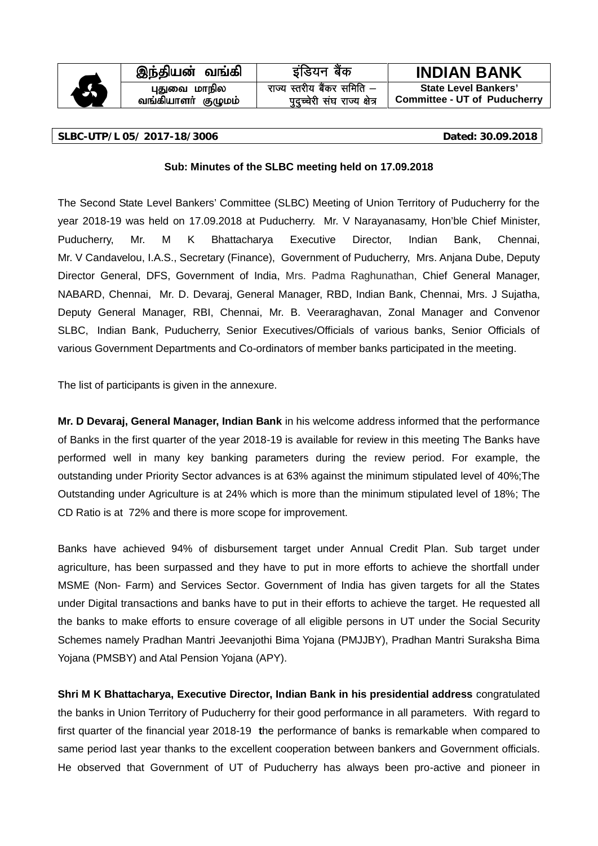

**tq;fpahsh; FOkk; jkT; Lrjh; c S adj lfefr &**

**i qnqPpsjh l a?k jkT; {k s=**

**,e;jpad; tq;fp b afM;u cS ad INDIAN BANK** <sup>A</sup> **GJit khepy State Level Bankers' Committee - UT of Puducherry**

#### **SLBC-UTP/L 05/ 2017-18/3006 Dated: 30.09.2018**

## **Sub: Minutes of the SLBC meeting held on 17.09.2018**

The Second State Level Bankers' Committee (SLBC) Meeting of Union Territory of Puducherry for the year 2018-19 was held on 17.09.2018 at Puducherry. Mr. V Narayanasamy, Hon'ble Chief Minister, Puducherry, Mr. M K Bhattacharya Executive Director, Indian Bank, Chennai, Mr. V Candavelou, I.A.S., Secretary (Finance), Government of Puducherry, Mrs. Anjana Dube, Deputy Director General, DFS, Government of India, Mrs. Padma Raghunathan, Chief General Manager, NABARD, Chennai, Mr. D. Devaraj, General Manager, RBD, Indian Bank, Chennai, Mrs. J Sujatha, Deputy General Manager, RBI, Chennai, Mr. B. Veeraraghavan, Zonal Manager and Convenor SLBC, Indian Bank, Puducherry, Senior Executives/Officials of various banks, Senior Officials of various Government Departments and Co-ordinators of member banks participated in the meeting.

The list of participants is given in the annexure.

**Mr. D Devaraj, General Manager, Indian Bank** in his welcome address informed that the performance of Banks in the first quarter of the year 2018-19 is available for review in this meeting The Banks have performed well in many key banking parameters during the review period. For example, the outstanding under Priority Sector advances is at 63% against the minimum stipulated level of 40%;The Outstanding under Agriculture is at 24% which is more than the minimum stipulated level of 18%; The CD Ratio is at 72% and there is more scope for improvement.

Banks have achieved 94% of disbursement target under Annual Credit Plan. Sub target under agriculture, has been surpassed and they have to put in more efforts to achieve the shortfall under MSME (Non- Farm) and Services Sector. Government of India has given targets for all the States under Digital transactions and banks have to put in their efforts to achieve the target. He requested all the banks to make efforts to ensure coverage of all eligible persons in UT under the Social Security Schemes namely Pradhan Mantri Jeevanjothi Bima Yojana (PMJJBY), Pradhan Mantri Suraksha Bima Yojana (PMSBY) and Atal Pension Yojana (APY).

**Shri M K Bhattacharya, Executive Director, Indian Bank in his presidential address** congratulated the banks in Union Territory of Puducherry for their good performance in all parameters. With regard to first quarter of the financial year 2018-19 **t**he performance of banks is remarkable when compared to same period last year thanks to the excellent cooperation between bankers and Government officials. He observed that Government of UT of Puducherry has always been pro-active and pioneer in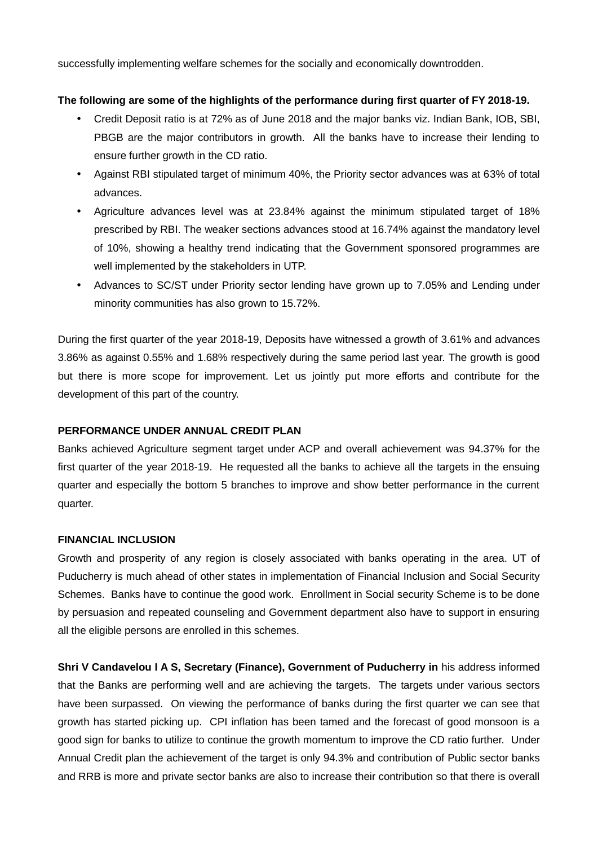successfully implementing welfare schemes for the socially and economically downtrodden.

## **The following are some of the highlights of the performance during first quarter of FY 2018-19.**

- Credit Deposit ratio is at 72% as of June 2018 and the major banks viz. Indian Bank, IOB, SBI, PBGB are the major contributors in growth. All the banks have to increase their lending to ensure further growth in the CD ratio.
- Against RBI stipulated target of minimum 40%, the Priority sector advances was at 63% of total advances.
- Agriculture advances level was at 23.84% against the minimum stipulated target of 18% prescribed by RBI. The weaker sections advances stood at 16.74% against the mandatory level of 10%, showing a healthy trend indicating that the Government sponsored programmes are well implemented by the stakeholders in UTP.
- Advances to SC/ST under Priority sector lending have grown up to 7.05% and Lending under minority communities has also grown to 15.72%.

During the first quarter of the year 2018-19, Deposits have witnessed a growth of 3.61% and advances 3.86% as against 0.55% and 1.68% respectively during the same period last year. The growth is good but there is more scope for improvement. Let us jointly put more efforts and contribute for the development of this part of the country.

### **PERFORMANCE UNDER ANNUAL CREDIT PLAN**

Banks achieved Agriculture segment target under ACP and overall achievement was 94.37% for the first quarter of the year 2018-19. He requested all the banks to achieve all the targets in the ensuing quarter and especially the bottom 5 branches to improve and show better performance in the current quarter.

## **FINANCIAL INCLUSION**

Growth and prosperity of any region is closely associated with banks operating in the area. UT of Puducherry is much ahead of other states in implementation of Financial Inclusion and Social Security Schemes. Banks have to continue the good work. Enrollment in Social security Scheme is to be done by persuasion and repeated counseling and Government department also have to support in ensuring all the eligible persons are enrolled in this schemes.

**Shri V Candavelou I A S, Secretary (Finance), Government of Puducherry in** his address informed that the Banks are performing well and are achieving the targets. The targets under various sectors have been surpassed. On viewing the performance of banks during the first quarter we can see that growth has started picking up. CPI inflation has been tamed and the forecast of good monsoon is a good sign for banks to utilize to continue the growth momentum to improve the CD ratio further. Under Annual Credit plan the achievement of the target is only 94.3% and contribution of Public sector banks and RRB is more and private sector banks are also to increase their contribution so that there is overall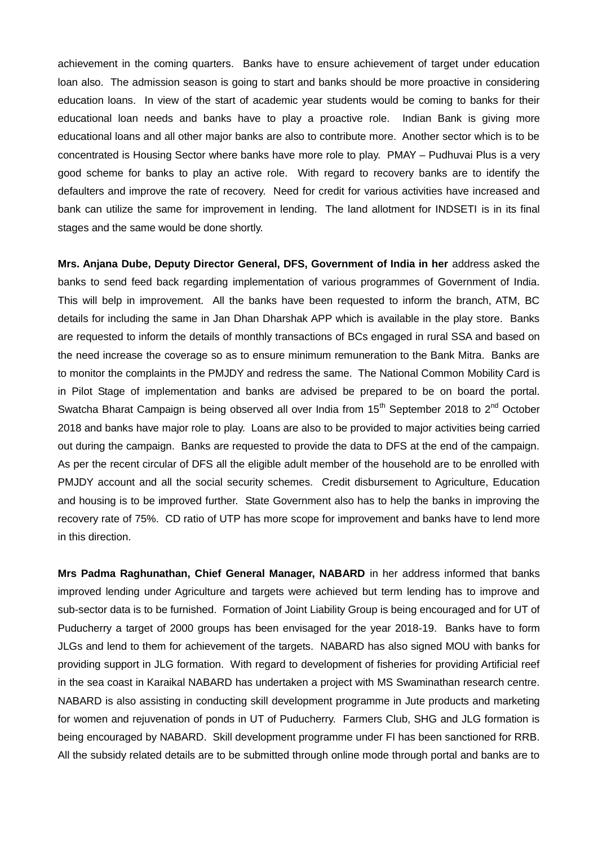achievement in the coming quarters. Banks have to ensure achievement of target under education loan also. The admission season is going to start and banks should be more proactive in considering education loans. In view of the start of academic year students would be coming to banks for their educational loan needs and banks have to play a proactive role. Indian Bank is giving more educational loans and all other major banks are also to contribute more. Another sector which is to be concentrated is Housing Sector where banks have more role to play. PMAY – Pudhuvai Plus is a very good scheme for banks to play an active role. With regard to recovery banks are to identify the defaulters and improve the rate of recovery. Need for credit for various activities have increased and bank can utilize the same for improvement in lending. The land allotment for INDSETI is in its final stages and the same would be done shortly.

**Mrs. Anjana Dube, Deputy Director General, DFS, Government of India in her** address asked the banks to send feed back regarding implementation of various programmes of Government of India. This will belp in improvement. All the banks have been requested to inform the branch, ATM, BC details for including the same in Jan Dhan Dharshak APP which is available in the play store. Banks are requested to inform the details of monthly transactions of BCs engaged in rural SSA and based on the need increase the coverage so as to ensure minimum remuneration to the Bank Mitra. Banks are to monitor the complaints in the PMJDY and redress the same. The National Common Mobility Card is in Pilot Stage of implementation and banks are advised be prepared to be on board the portal. Swatcha Bharat Campaign is being observed all over India from  $15<sup>th</sup>$  September 2018 to  $2<sup>nd</sup>$  October 2018 and banks have major role to play. Loans are also to be provided to major activities being carried out during the campaign. Banks are requested to provide the data to DFS at the end of the campaign. As per the recent circular of DFS all the eligible adult member of the household are to be enrolled with PMJDY account and all the social security schemes. Credit disbursement to Agriculture, Education and housing is to be improved further. State Government also has to help the banks in improving the recovery rate of 75%. CD ratio of UTP has more scope for improvement and banks have to lend more in this direction.

**Mrs Padma Raghunathan, Chief General Manager, NABARD** in her address informed that banks improved lending under Agriculture and targets were achieved but term lending has to improve and sub-sector data is to be furnished. Formation of Joint Liability Group is being encouraged and for UT of Puducherry a target of 2000 groups has been envisaged for the year 2018-19. Banks have to form JLGs and lend to them for achievement of the targets. NABARD has also signed MOU with banks for providing support in JLG formation. With regard to development of fisheries for providing Artificial reef in the sea coast in Karaikal NABARD has undertaken a project with MS Swaminathan research centre. NABARD is also assisting in conducting skill development programme in Jute products and marketing for women and rejuvenation of ponds in UT of Puducherry. Farmers Club, SHG and JLG formation is being encouraged by NABARD. Skill development programme under FI has been sanctioned for RRB. All the subsidy related details are to be submitted through online mode through portal and banks are to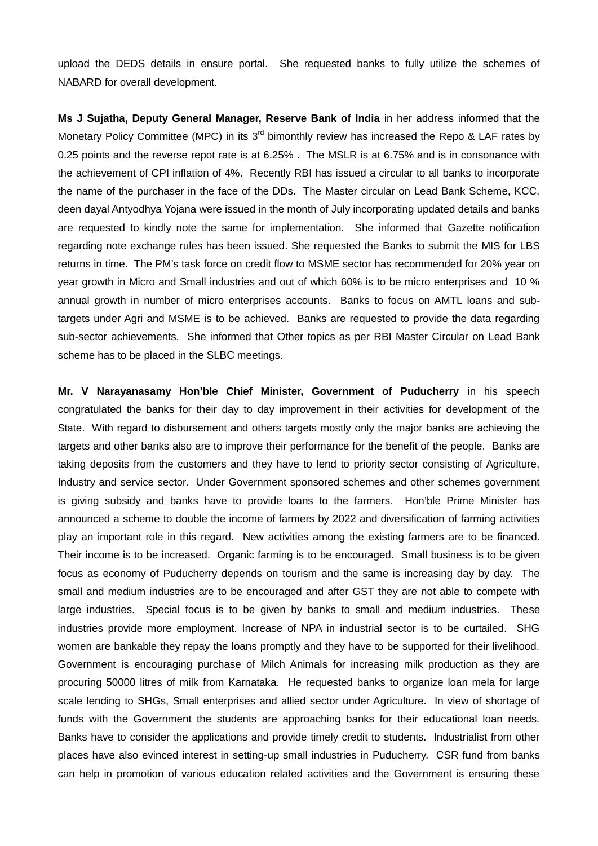upload the DEDS details in ensure portal. She requested banks to fully utilize the schemes of NABARD for overall development.

**Ms J Sujatha, Deputy General Manager, Reserve Bank of India** in her address informed that the Monetary Policy Committee (MPC) in its  $3^{rd}$  bimonthly review has increased the Repo & LAF rates by 0.25 points and the reverse repot rate is at 6.25% . The MSLR is at 6.75% and is in consonance with the achievement of CPI inflation of 4%. Recently RBI has issued a circular to all banks to incorporate the name of the purchaser in the face of the DDs. The Master circular on Lead Bank Scheme, KCC, deen dayal Antyodhya Yojana were issued in the month of July incorporating updated details and banks are requested to kindly note the same for implementation. She informed that Gazette notification regarding note exchange rules has been issued. She requested the Banks to submit the MIS for LBS returns in time. The PM's task force on credit flow to MSME sector has recommended for 20% year on year growth in Micro and Small industries and out of which 60% is to be micro enterprises and 10 % annual growth in number of micro enterprises accounts. Banks to focus on AMTL loans and subtargets under Agri and MSME is to be achieved. Banks are requested to provide the data regarding sub-sector achievements. She informed that Other topics as per RBI Master Circular on Lead Bank scheme has to be placed in the SLBC meetings.

**Mr. V Narayanasamy Hon'ble Chief Minister, Government of Puducherry** in his speech congratulated the banks for their day to day improvement in their activities for development of the State. With regard to disbursement and others targets mostly only the major banks are achieving the targets and other banks also are to improve their performance for the benefit of the people. Banks are taking deposits from the customers and they have to lend to priority sector consisting of Agriculture, Industry and service sector. Under Government sponsored schemes and other schemes government is giving subsidy and banks have to provide loans to the farmers. Hon'ble Prime Minister has announced a scheme to double the income of farmers by 2022 and diversification of farming activities play an important role in this regard. New activities among the existing farmers are to be financed. Their income is to be increased. Organic farming is to be encouraged. Small business is to be given focus as economy of Puducherry depends on tourism and the same is increasing day by day. The small and medium industries are to be encouraged and after GST they are not able to compete with large industries. Special focus is to be given by banks to small and medium industries. These industries provide more employment. Increase of NPA in industrial sector is to be curtailed. SHG women are bankable they repay the loans promptly and they have to be supported for their livelihood. Government is encouraging purchase of Milch Animals for increasing milk production as they are procuring 50000 litres of milk from Karnataka. He requested banks to organize loan mela for large scale lending to SHGs, Small enterprises and allied sector under Agriculture. In view of shortage of funds with the Government the students are approaching banks for their educational loan needs. Banks have to consider the applications and provide timely credit to students. Industrialist from other places have also evinced interest in setting-up small industries in Puducherry. CSR fund from banks can help in promotion of various education related activities and the Government is ensuring these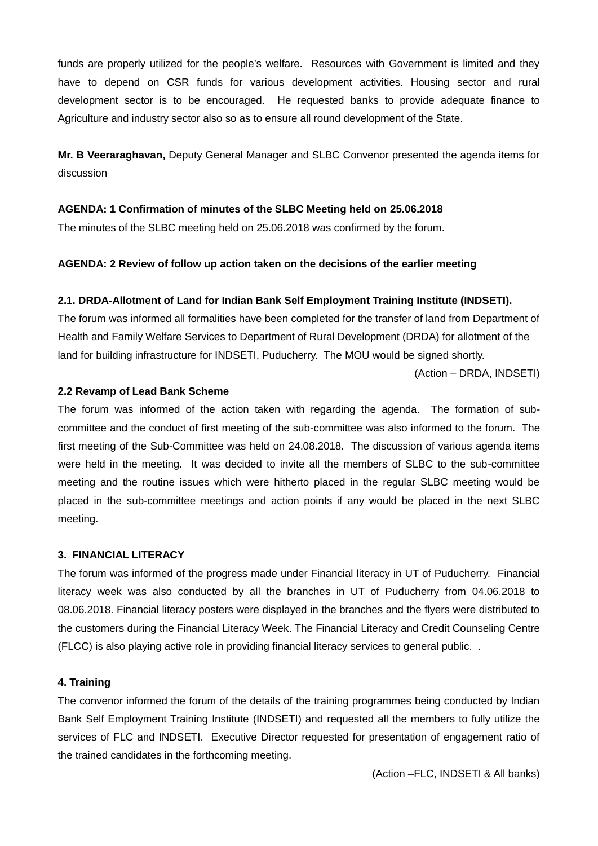funds are properly utilized for the people's welfare. Resources with Government is limited and they have to depend on CSR funds for various development activities. Housing sector and rural development sector is to be encouraged. He requested banks to provide adequate finance to Agriculture and industry sector also so as to ensure all round development of the State.

**Mr. B Veeraraghavan,** Deputy General Manager and SLBC Convenor presented the agenda items for discussion

## **AGENDA: 1 Confirmation of minutes of the SLBC Meeting held on 25.06.2018**

The minutes of the SLBC meeting held on 25.06.2018 was confirmed by the forum.

## **AGENDA: 2 Review of follow up action taken on the decisions of the earlier meeting**

## **2.1. DRDA-Allotment of Land for Indian Bank Self Employment Training Institute (INDSETI).**

The forum was informed all formalities have been completed for the transfer of land from Department of Health and Family Welfare Services to Department of Rural Development (DRDA) for allotment of the land for building infrastructure for INDSETI, Puducherry. The MOU would be signed shortly.

(Action – DRDA, INDSETI)

### **2.2 Revamp of Lead Bank Scheme**

The forum was informed of the action taken with regarding the agenda. The formation of sub committee and the conduct of first meeting of the sub-committee was also informed to the forum. The first meeting of the Sub-Committee was held on 24.08.2018. The discussion of various agenda items were held in the meeting. It was decided to invite all the members of SLBC to the sub-committee meeting and the routine issues which were hitherto placed in the regular SLBC meeting would be placed in the sub-committee meetings and action points if any would be placed in the next SLBC meeting.

### **3. FINANCIAL LITERACY**

The forum was informed of the progress made under Financial literacy in UT of Puducherry. Financial literacy week was also conducted by all the branches in UT of Puducherry from 04.06.2018 to 08.06.2018. Financial literacy posters were displayed in the branches and the flyers were distributed to the customers during the Financial Literacy Week. The Financial Literacy and Credit Counseling Centre (FLCC) is also playing active role in providing financial literacy services to general public. .

### **4. Training**

The convenor informed the forum of the details of the training programmes being conducted by Indian Bank Self Employment Training Institute (INDSETI) and requested all the members to fully utilize the services of FLC and INDSETI. Executive Director requested for presentation of engagement ratio of the trained candidates in the forthcoming meeting.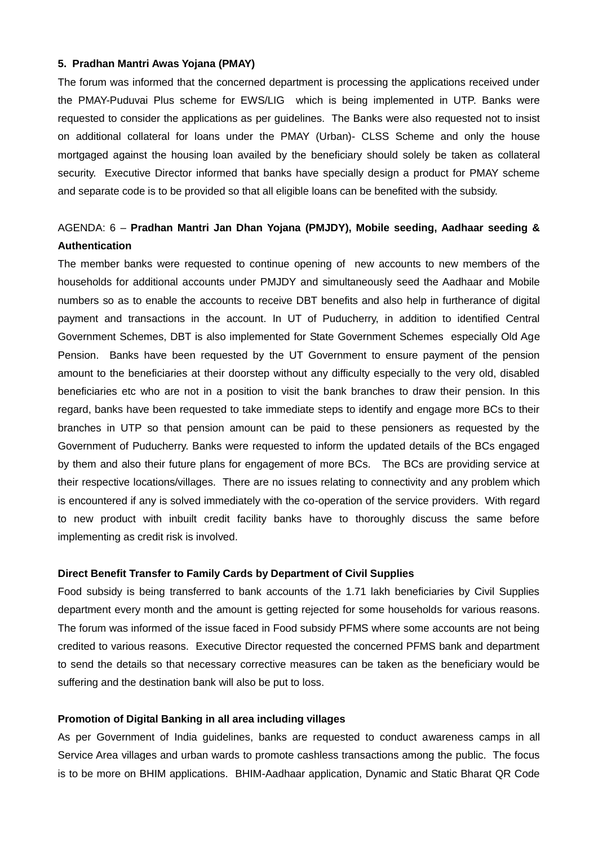#### **5. Pradhan Mantri Awas Yojana (PMAY)**

The forum was informed that the concerned department is processing the applications received under the PMAY-Puduvai Plus scheme for EWS/LIG which is being implemented in UTP. Banks were requested to consider the applications as per guidelines. The Banks were also requested not to insist on additional collateral for loans under the PMAY (Urban)- CLSS Scheme and only the house mortgaged against the housing loan availed by the beneficiary should solely be taken as collateral security. Executive Director informed that banks have specially design a product for PMAY scheme and separate code is to be provided so that all eligible loans can be benefited with the subsidy.

## AGENDA: 6 – **Pradhan Mantri Jan Dhan Yojana (PMJDY), Mobile seeding, Aadhaar seeding & Authentication**

The member banks were requested to continue opening of new accounts to new members of the households for additional accounts under PMJDY and simultaneously seed the Aadhaar and Mobile numbers so as to enable the accounts to receive DBT benefits and also help in furtherance of digital payment and transactions in the account. In UT of Puducherry, in addition to identified Central Government Schemes, DBT is also implemented for State Government Schemes especially Old Age Pension. Banks have been requested by the UT Government to ensure payment of the pension amount to the beneficiaries at their doorstep without any difficulty especially to the very old, disabled beneficiaries etc who are not in a position to visit the bank branches to draw their pension. In this regard, banks have been requested to take immediate steps to identify and engage more BCs to their branches in UTP so that pension amount can be paid to these pensioners as requested by the Government of Puducherry. Banks were requested to inform the updated details of the BCs engaged by them and also their future plans for engagement of more BCs. The BCs are providing service at their respective locations/villages. There are no issues relating to connectivity and any problem which is encountered if any is solved immediately with the co-operation of the service providers. With regard to new product with inbuilt credit facility banks have to thoroughly discuss the same before implementing as credit risk is involved.

#### **Direct Benefit Transfer to Family Cards by Department of Civil Supplies**

Food subsidy is being transferred to bank accounts of the 1.71 lakh beneficiaries by Civil Supplies department every month and the amount is getting rejected for some households for various reasons. The forum was informed of the issue faced in Food subsidy PFMS where some accounts are not being credited to various reasons. Executive Director requested the concerned PFMS bank and department to send the details so that necessary corrective measures can be taken as the beneficiary would be suffering and the destination bank will also be put to loss.

#### **Promotion of Digital Banking in all area including villages**

As per Government of India guidelines, banks are requested to conduct awareness camps in all Service Area villages and urban wards to promote cashless transactions among the public. The focus is to be more on BHIM applications. BHIM-Aadhaar application, Dynamic and Static Bharat QR Code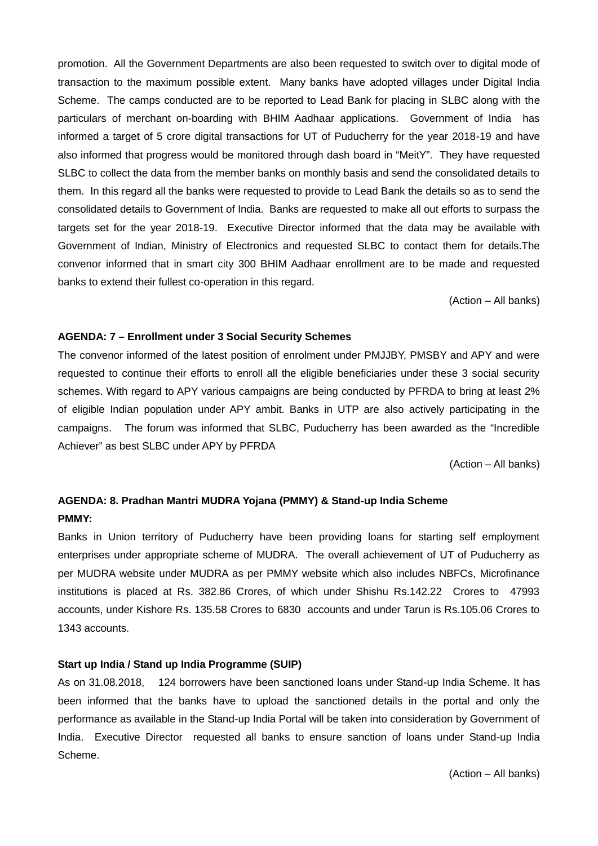promotion. All the Government Departments are also been requested to switch over to digital mode of transaction to the maximum possible extent. Many banks have adopted villages under Digital India Scheme. The camps conducted are to be reported to Lead Bank for placing in SLBC along with the particulars of merchant on-boarding with BHIM Aadhaar applications. Government of India has informed a target of 5 crore digital transactions for UT of Puducherry for the year 2018-19 and have also informed that progress would be monitored through dash board in "MeitY". They have requested SLBC to collect the data from the member banks on monthly basis and send the consolidated details to them. In this regard all the banks were requested to provide to Lead Bank the details so as to send the consolidated details to Government of India. Banks are requested to make all out efforts to surpass the targets set for the year 2018-19. Executive Director informed that the data may be available with Government of Indian, Ministry of Electronics and requested SLBC to contact them for details.The convenor informed that in smart city 300 BHIM Aadhaar enrollment are to be made and requested banks to extend their fullest co-operation in this regard.

(Action – All banks)

#### **AGENDA: 7 – Enrollment under 3 Social Security Schemes**

The convenor informed of the latest position of enrolment under PMJJBY, PMSBY and APY and were requested to continue their efforts to enroll all the eligible beneficiaries under these 3 social security schemes. With regard to APY various campaigns are being conducted by PFRDA to bring at least 2% of eligible Indian population under APY ambit. Banks in UTP are also actively participating in the campaigns. The forum was informed that SLBC, Puducherry has been awarded as the "Incredible Achiever" as best SLBC under APY by PFRDA

(Action – All banks)

## **AGENDA: 8. Pradhan Mantri MUDRA Yojana (PMMY) & Stand-up India Scheme PMMY:**

Banks in Union territory of Puducherry have been providing loans for starting self employment enterprises under appropriate scheme of MUDRA. The overall achievement of UT of Puducherry as per MUDRA website under MUDRA as per PMMY website which also includes NBFCs, Microfinance institutions is placed at Rs. 382.86 Crores, of which under Shishu Rs.142.22 Crores to 47993 accounts, under Kishore Rs. 135.58 Crores to 6830 accounts and under Tarun is Rs.105.06 Crores to 1343 accounts.

## **Start up India / Stand up India Programme (SUIP)**

As on 31.08.2018, 124 borrowers have been sanctioned loans under Stand-up India Scheme. It has been informed that the banks have to upload the sanctioned details in the portal and only the performance as available in the Stand-up India Portal will be taken into consideration by Government of India. Executive Director requested all banks to ensure sanction of loans under Stand-up India Scheme.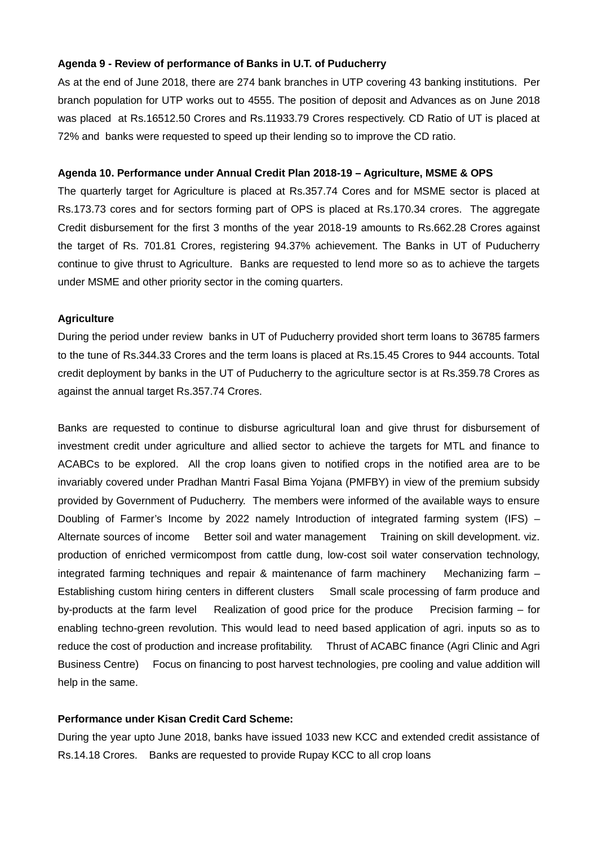### **Agenda 9 - Review of performance of Banks in U.T. of Puducherry**

As at the end of June 2018, there are 274 bank branches in UTP covering 43 banking institutions. Per branch population for UTP works out to 4555. The position of deposit and Advances as on June 2018 was placed at Rs.16512.50 Crores and Rs.11933.79 Crores respectively. CD Ratio of UT is placed at 72% and banks were requested to speed up their lending so to improve the CD ratio.

#### **Agenda 10. Performance under Annual Credit Plan 2018-19 – Agriculture, MSME & OPS**

The quarterly target for Agriculture is placed at Rs.357.74 Cores and for MSME sector is placed at Rs.173.73 cores and for sectors forming part of OPS is placed at Rs.170.34 crores. The aggregate Credit disbursement for the first 3 months of the year 2018-19 amounts to Rs.662.28 Crores against the target of Rs. 701.81 Crores, registering 94.37% achievement. The Banks in UT of Puducherry continue to give thrust to Agriculture. Banks are requested to lend more so as to achieve the targets under MSME and other priority sector in the coming quarters.

#### **Agriculture**

During the period under review banks in UT of Puducherry provided short term loans to 36785 farmers to the tune of Rs.344.33 Crores and the term loans is placed at Rs.15.45 Crores to 944 accounts. Total credit deployment by banks in the UT of Puducherry to the agriculture sector is at Rs.359.78 Crores as against the annual target Rs.357.74 Crores.

Banks are requested to continue to disburse agricultural loan and give thrust for disbursement of investment credit under agriculture and allied sector to achieve the targets for MTL and finance to ACABCs to be explored. All the crop loans given to notified crops in the notified area are to be invariably covered under Pradhan Mantri Fasal Bima Yojana (PMFBY) in view of the premium subsidy provided by Government of Puducherry. The members were informed of the available ways to ensure Doubling of Farmer's Income by 2022 namely Introduction of integrated farming system (IFS) – Alternate sources of income Better soil and water management Training on skill development. viz. production of enriched vermicompost from cattle dung, low-cost soil water conservation technology, integrated farming techniques and repair & maintenance of farm machinery Mechanizing farm – Establishing custom hiring centers in different clusters Small scale processing of farm produce and by-products at the farm level Realization of good price for the produce Precision farming – for enabling techno-green revolution. This would lead to need based application of agri. inputs so as to reduce the cost of production and increase profitability. Thrust of ACABC finance (Agri Clinic and Agri Business Centre) Focus on financing to post harvest technologies, pre cooling and value addition will help in the same.

## **Performance under Kisan Credit Card Scheme:**

During the year upto June 2018, banks have issued 1033 new KCC and extended credit assistance of Rs.14.18 Crores. Banks are requested to provide Rupay KCC to all crop loans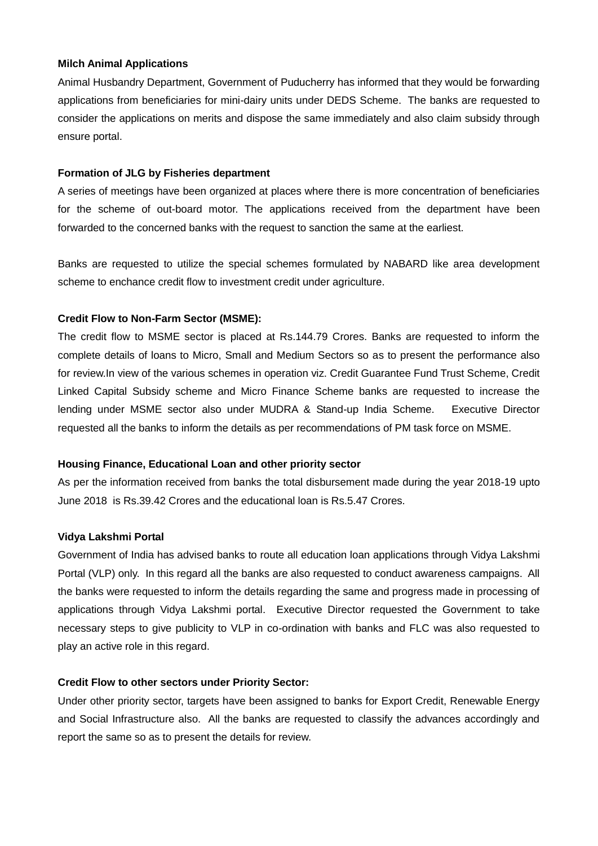#### **Milch Animal Applications**

Animal Husbandry Department, Government of Puducherry has informed that they would be forwarding applications from beneficiaries for mini-dairy units under DEDS Scheme. The banks are requested to consider the applications on merits and dispose the same immediately and also claim subsidy through ensure portal.

### **Formation of JLG by Fisheries department**

A series of meetings have been organized at places where there is more concentration of beneficiaries for the scheme of out-board motor. The applications received from the department have been forwarded to the concerned banks with the request to sanction the same at the earliest.

Banks are requested to utilize the special schemes formulated by NABARD like area development scheme to enchance credit flow to investment credit under agriculture.

#### **Credit Flow to Non-Farm Sector (MSME):**

The credit flow to MSME sector is placed at Rs.144.79 Crores. Banks are requested to inform the complete details of loans to Micro, Small and Medium Sectors so as to present the performance also for review.In view of the various schemes in operation viz. Credit Guarantee Fund Trust Scheme, Credit Linked Capital Subsidy scheme and Micro Finance Scheme banks are requested to increase the lending under MSME sector also under MUDRA & Stand-up India Scheme. Executive Director requested all the banks to inform the details as per recommendations of PM task force on MSME.

### **Housing Finance, Educational Loan and other priority sector**

As per the information received from banks the total disbursement made during the year 2018-19 upto June 2018 is Rs.39.42 Crores and the educational loan is Rs.5.47 Crores.

### **Vidya Lakshmi Portal**

Government of India has advised banks to route all education loan applications through Vidya Lakshmi Portal (VLP) only. In this regard all the banks are also requested to conduct awareness campaigns. All the banks were requested to inform the details regarding the same and progress made in processing of applications through Vidya Lakshmi portal. Executive Director requested the Government to take necessary steps to give publicity to VLP in co-ordination with banks and FLC was also requested to play an active role in this regard.

#### **Credit Flow to other sectors under Priority Sector:**

Under other priority sector, targets have been assigned to banks for Export Credit, Renewable Energy and Social Infrastructure also. All the banks are requested to classify the advances accordingly and report the same so as to present the details for review.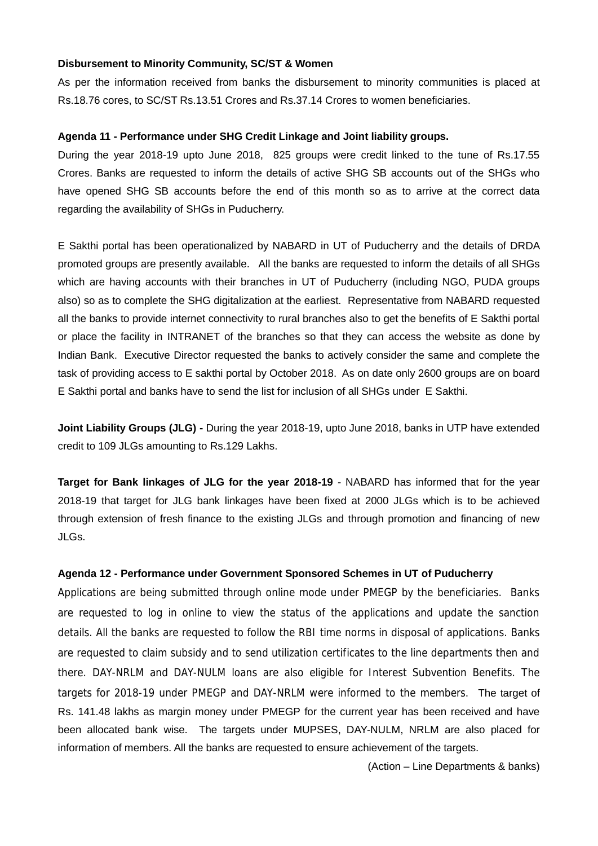#### **Disbursement to Minority Community, SC/ST & Women**

As per the information received from banks the disbursement to minority communities is placed at Rs.18.76 cores, to SC/ST Rs.13.51 Crores and Rs.37.14 Crores to women beneficiaries.

### **Agenda 11 - Performance under SHG Credit Linkage and Joint liability groups.**

During the year 2018-19 upto June 2018, 825 groups were credit linked to the tune of Rs.17.55 Crores. Banks are requested to inform the details of active SHG SB accounts out of the SHGs who have opened SHG SB accounts before the end of this month so as to arrive at the correct data regarding the availability of SHGs in Puducherry.

E Sakthi portal has been operationalized by NABARD in UT of Puducherry and the details of DRDA promoted groups are presently available. All the banks are requested to inform the details of all SHGs which are having accounts with their branches in UT of Puducherry (including NGO, PUDA groups also) so as to complete the SHG digitalization at the earliest. Representative from NABARD requested all the banks to provide internet connectivity to rural branches also to get the benefits of E Sakthi portal or place the facility in INTRANET of the branches so that they can access the website as done by Indian Bank. Executive Director requested the banks to actively consider the same and complete the task of providing access to E sakthi portal by October 2018. As on date only 2600 groups are on board E Sakthi portal and banks have to send the list for inclusion of all SHGs under E Sakthi.

**Joint Liability Groups (JLG) -** During the year 2018-19, upto June 2018, banks in UTP have extended credit to 109 JLGs amounting to Rs.129 Lakhs.

**Target for Bank linkages of JLG for the year 2018-19** - NABARD has informed that for the year 2018-19 that target for JLG bank linkages have been fixed at 2000 JLGs which is to be achieved through extension of fresh finance to the existing JLGs and through promotion and financing of new JLGs.

### **Agenda 12 - Performance under Government Sponsored Schemes in UT of Puducherry**

Applications are being submitted through online mode under PMEGP by the beneficiaries. Banks are requested to log in online to view the status of the applications and update the sanction details. All the banks are requested to follow the RBI time norms in disposal of applications. Banks are requested to claim subsidy and to send utilization certificates to the line departments then and there. DAY-NRLM and DAY-NULM loans are also eligible for Interest Subvention Benefits. The targets for 2018-19 under PMEGP and DAY-NRLM were informed to the members. The target of Rs. 141.48 lakhs as margin money under PMEGP for the current year has been received and have been allocated bank wise. The targets under MUPSES, DAY-NULM, NRLM are also placed for information of members. All the banks are requested to ensure achievement of the targets.

(Action – Line Departments & banks)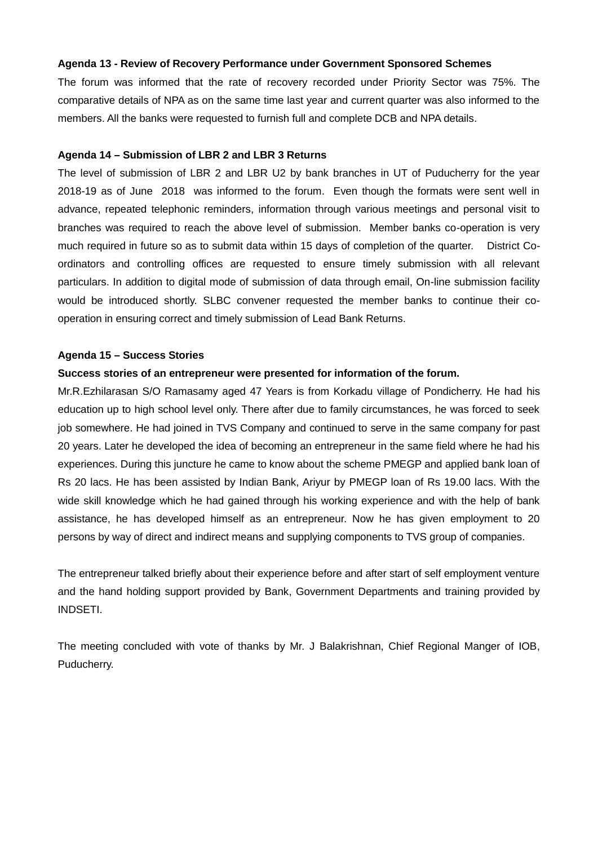### **Agenda 13 - Review of Recovery Performance under Government Sponsored Schemes**

The forum was informed that the rate of recovery recorded under Priority Sector was 75%. The comparative details of NPA as on the same time last year and current quarter was also informed to the members. All the banks were requested to furnish full and complete DCB and NPA details.

#### **Agenda 14 – Submission of LBR 2 and LBR 3 Returns**

The level of submission of LBR 2 and LBR U2 by bank branches in UT of Puducherry for the year 2018-19 as of June 2018 was informed to the forum. Even though the formats were sent well in advance, repeated telephonic reminders, information through various meetings and personal visit to branches was required to reach the above level of submission. Member banks co-operation is very much required in future so as to submit data within 15 days of completion of the quarter. District Co ordinators and controlling offices are requested to ensure timely submission with all relevant particulars. In addition to digital mode of submission of data through email, On-line submission facility would be introduced shortly. SLBC convener requested the member banks to continue their co operation in ensuring correct and timely submission of Lead Bank Returns.

#### **Agenda 15 – Success Stories**

#### **Success stories of an entrepreneur were presented for information of the forum.**

Mr.R.Ezhilarasan S/O Ramasamy aged 47 Years is from Korkadu village of Pondicherry. He had his education up to high school level only. There after due to family circumstances, he was forced to seek job somewhere. He had joined in TVS Company and continued to serve in the same company for past 20 years. Later he developed the idea of becoming an entrepreneur in the same field where he had his experiences. During this juncture he came to know about the scheme PMEGP and applied bank loan of Rs 20 lacs. He has been assisted by Indian Bank, Ariyur by PMEGP loan of Rs 19.00 lacs. With the wide skill knowledge which he had gained through his working experience and with the help of bank assistance, he has developed himself as an entrepreneur. Now he has given employment to 20 persons by way of direct and indirect means and supplying components to TVS group of companies.

The entrepreneur talked briefly about their experience before and after start of self employment venture and the hand holding support provided by Bank, Government Departments and training provided by INDSETI.

The meeting concluded with vote of thanks by Mr. J Balakrishnan, Chief Regional Manger of IOB, Puducherry.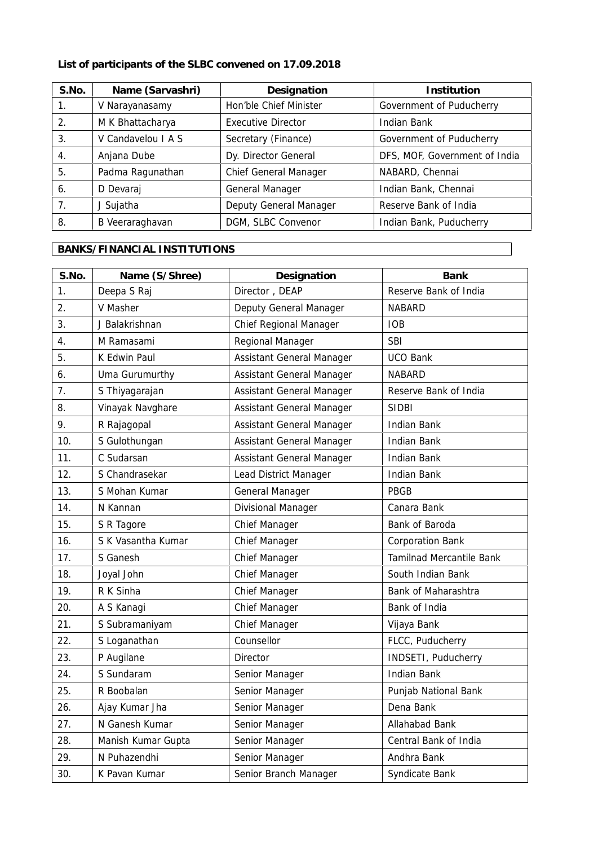**List of participants of the SLBC convened on 17.09.2018**

| S.No. | Name (Sarvashri)   | Designation               | Institution                   |
|-------|--------------------|---------------------------|-------------------------------|
| 1.    | V Narayanasamy     | Hon'ble Chief Minister    | Government of Puducherry      |
| 2.    | M K Bhattacharya   | <b>Executive Director</b> | Indian Bank                   |
| 3.    | V Candavelou I A S | Secretary (Finance)       | Government of Puducherry      |
| 4.    | Anjana Dube        | Dy. Director General      | DFS, MOF, Government of India |
| 5.    | Padma Ragunathan   | Chief General Manager     | NABARD, Chennai               |
| 6.    | D Devaraj          | General Manager           | Indian Bank, Chennai          |
| 7.    | J Sujatha          | Deputy General Manager    | Reserve Bank of India         |
| 8.    | B Veeraraghavan    | DGM, SLBC Convenor        | Indian Bank, Puducherry       |

# **BANKS/FINANCIAL INSTITUTIONS**

| S.No. | Name (S/Shree)     | Designation               | Bank                     |
|-------|--------------------|---------------------------|--------------------------|
| 1.    | Deepa S Raj        | Director, DEAP            | Reserve Bank of India    |
| 2.    | V Masher           | Deputy General Manager    | NABARD                   |
| 3.    | J Balakrishnan     | Chief Regional Manager    | <b>IOB</b>               |
| 4.    | M Ramasami         | Regional Manager          | <b>SBI</b>               |
| 5.    | K Edwin Paul       | Assistant General Manager | <b>UCO Bank</b>          |
| 6.    | Uma Gurumurthy     | Assistant General Manager | <b>NABARD</b>            |
| 7.    | S Thiyagarajan     | Assistant General Manager | Reserve Bank of India    |
| 8.    | Vinayak Navghare   | Assistant General Manager | <b>SIDBI</b>             |
| 9.    | R Rajagopal        | Assistant General Manager | <b>Indian Bank</b>       |
| 10.   | S Gulothungan      | Assistant General Manager | <b>Indian Bank</b>       |
| 11.   | C Sudarsan         | Assistant General Manager | <b>Indian Bank</b>       |
| 12.   | S Chandrasekar     | Lead District Manager     | <b>Indian Bank</b>       |
| 13.   | S Mohan Kumar      | General Manager           | PBGB                     |
| 14.   | N Kannan           | Divisional Manager        | Canara Bank              |
| 15.   | S R Tagore         | Chief Manager             | Bank of Baroda           |
| 16.   | S K Vasantha Kumar | Chief Manager             | <b>Corporation Bank</b>  |
| 17.   | S Ganesh           | Chief Manager             | Tamilnad Mercantile Bank |
| 18.   | Joyal John         | Chief Manager             | South Indian Bank        |
| 19.   | R K Sinha          | Chief Manager             | Bank of Maharashtra      |
| 20.   | A S Kanagi         | Chief Manager             | Bank of India            |
| 21.   | S Subramaniyam     | Chief Manager             | Vijaya Bank              |
| 22.   | S Loganathan       | Counsellor                | FLCC, Puducherry         |
| 23.   | P Augilane         | Director                  | INDSETI, Puducherry      |
| 24.   | S Sundaram         | Senior Manager            | <b>Indian Bank</b>       |
| 25.   | R Boobalan         | Senior Manager            | Punjab National Bank     |
| 26.   | Ajay Kumar Jha     | Senior Manager            | Dena Bank                |
| 27.   | N Ganesh Kumar     | Senior Manager            | Allahabad Bank           |
| 28.   | Manish Kumar Gupta | Senior Manager            | Central Bank of India    |
| 29.   | N Puhazendhi       | Senior Manager            | Andhra Bank              |
| 30.   | K Pavan Kumar      | Senior Branch Manager     | Syndicate Bank           |